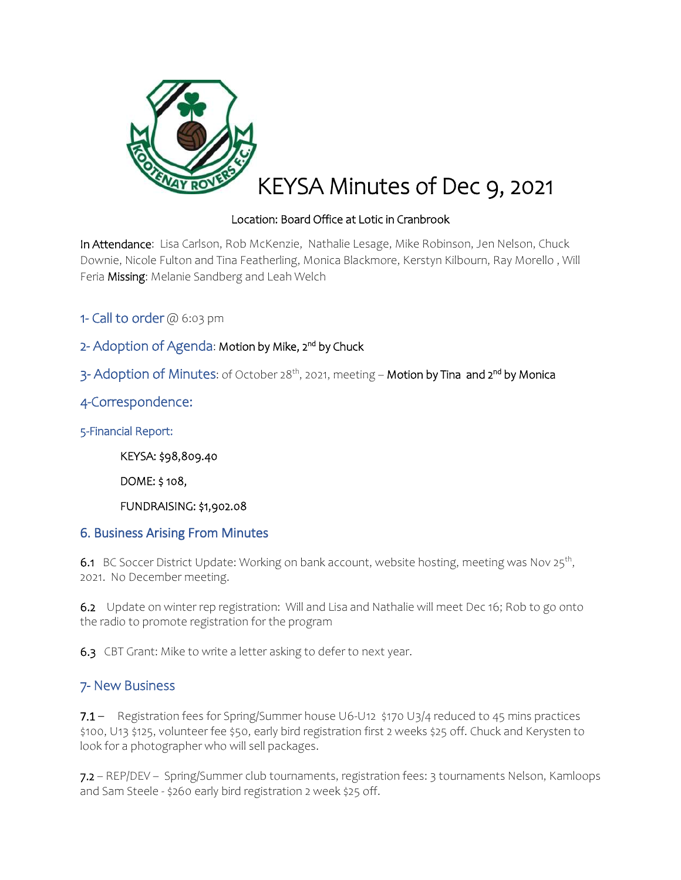

## Location: Board Office at Lotic in Cranbrook

In Attendance: Lisa Carlson, Rob McKenzie, Nathalie Lesage, Mike Robinson, Jen Nelson, Chuck Downie, Nicole Fulton and Tina Featherling, Monica Blackmore, Kerstyn Kilbourn, Ray Morello , Will Feria Missing: Melanie Sandberg and Leah Welch

1- Call to order  $@6:03$  pm

2- Adoption of Agenda: Motion by Mike, 2<sup>nd</sup> by Chuck

3- Adoption of Minutes: of October 28<sup>th</sup>, 2021, meeting – **Motion by Tina and 2<sup>nd</sup> by Monica** 

4-Correspondence:

5-Financial Report:

KEYSA: \$98,809.40

DOME: \$ 108,

FUNDRAISING: \$1,902.08

### 6. Business Arising From Minutes

6.1 BC Soccer District Update: Working on bank account, website hosting, meeting was Nov 25<sup>th</sup>, 2021. No December meeting.

6.2 Update on winter rep registration: Will and Lisa and Nathalie will meet Dec 16; Rob to go onto the radio to promote registration for the program

6.3 CBT Grant: Mike to write a letter asking to defer to next year.

### 7- New Business

7.1 – Registration fees for Spring/Summer house U6-U12 \$170 U3/4 reduced to 45 mins practices \$100, U13 \$125, volunteer fee \$50, early bird registration first 2 weeks \$25 off. Chuck and Kerysten to look for a photographer who will sell packages.

7.2 – REP/DEV – Spring/Summer club tournaments, registration fees: 3 tournaments Nelson, Kamloops and Sam Steele - \$260 early bird registration 2 week \$25 off.